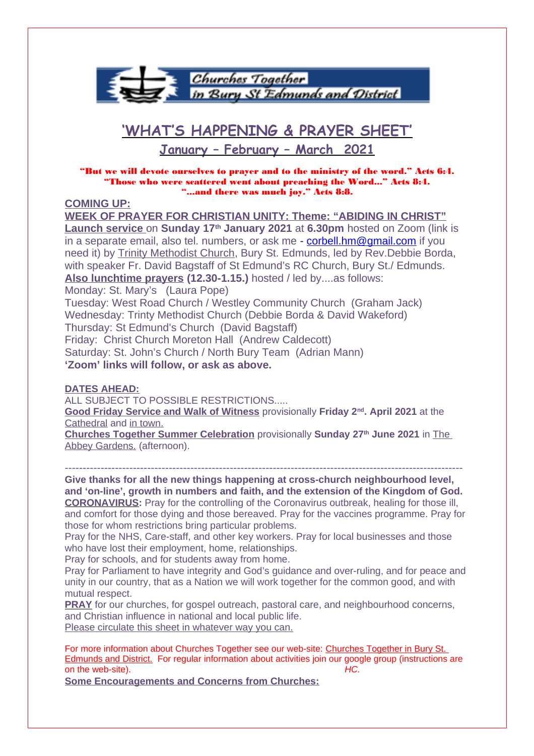

# **'WHAT'S HAPPENING & PRAYER SHEET'**

# **January – February – March 2021**

"But we will devote ourselves to prayer and to the ministry of the word." Acts 6:4. "Those who were scattered went about preaching the Word..." Acts 8:4. "...and there was much joy." Acts 8:8.

## **COMING UP:**

**WEEK OF PRAYER FOR CHRISTIAN UNITY: Theme: "ABIDING IN CHRIST" Launch service** on **Sunday 17th January 2021** at **6.30pm** hosted on Zoom (link is in a separate email, also tel. numbers, or ask me - [corbell.hm@gmail.com](mailto:corbell.hm@gmail.com) if you need it) by Trinity Methodist Church, Bury St. Edmunds, led by Rev.Debbie Borda, with speaker Fr. David Bagstaff of St Edmund's RC Church, Bury St./ Edmunds. **Also lunchtime prayers (12.30-1.15.)** hosted / led by....as follows: Monday: St. Mary's (Laura Pope) Tuesday: West Road Church / Westley Community Church (Graham Jack) Wednesday: Trinty Methodist Church (Debbie Borda & David Wakeford) Thursday: St Edmund's Church (David Bagstaff) Friday: Christ Church Moreton Hall (Andrew Caldecott) Saturday: St. John's Church / North Bury Team (Adrian Mann)

**'Zoom' links will follow, or ask as above.**

## **DATES AHEAD:**

ALL SUBJECT TO POSSIBLE RESTRICTIONS.....

**Good Friday Service and Walk of Witness** provisionally **Friday 2nd. April 2021** at the Cathedral and in town.

**Churches Together Summer Celebration** provisionally **Sunday 27th June 2021** in The Abbey Gardens. (afternoon).

---------------------------------------------------------------------------------------------------------------

**Give thanks for all the new things happening at cross-church neighbourhood level, and 'on-line', growth in numbers and faith, and the extension of the Kingdom of God. CORONAVIRUS:** Pray for the controlling of the Coronavirus outbreak, healing for those ill, and comfort for those dying and those bereaved. Pray for the vaccines programme. Pray for those for whom restrictions bring particular problems.

Pray for the NHS, Care-staff, and other key workers. Pray for local businesses and those who have lost their employment, home, relationships.

Pray for schools, and for students away from home.

Pray for Parliament to have integrity and God's guidance and over-ruling, and for peace and unity in our country, that as a Nation we will work together for the common good, and with mutual respect.

**PRAY** for our churches, for gospel outreach, pastoral care, and neighbourhood concerns, and Christian influence in national and local public life. Please circulate this sheet in whatever way you can.

For more information about Churches Together see our web-site: Churches Together in Bury St. Edmunds and District. For regular information about activities join our google group (instructions are on the web-site). HC.

**Some Encouragements and Concerns from Churches:**